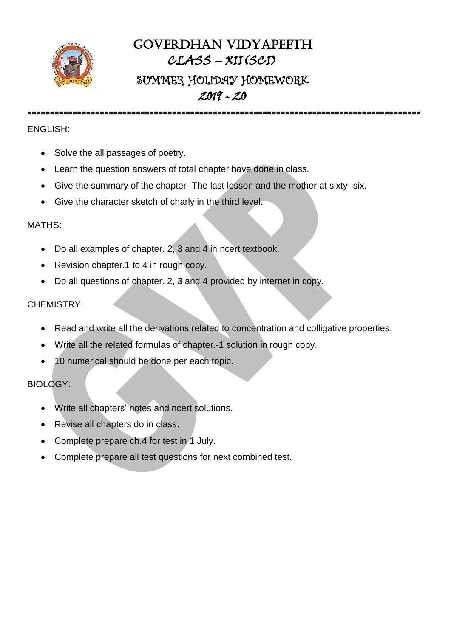

## GOVERDHAN VIDYAPEETH CLASS – XII(SCI) SUMMER HOLIDAY HOMEWORK 2019 - 20

**=======================================================================================**

ENGLISH:

- Solve the all passages of poetry.
- Learn the question answers of total chapter have done in class.
- Give the summary of the chapter- The last lesson and the mother at sixty -six.
- Give the character sketch of charly in the third level.

#### MATHS:

- Do all examples of chapter. 2, 3 and 4 in ncert textbook.
- Revision chapter.1 to 4 in rough copy.
- Do all questions of chapter. 2, 3 and 4 provided by internet in copy.

#### CHEMISTRY:

- Read and write all the derivations related to concentration and colligative properties.
- Write all the related formulas of chapter.-1 solution in rough copy.
- 10 numerical should be done per each topic.

### BIOLOGY:

- Write all chapters' notes and ncert solutions.
- Revise all chapters do in class.
- Complete prepare ch.4 for test in 1 July.
- Complete prepare all test questions for next combined test.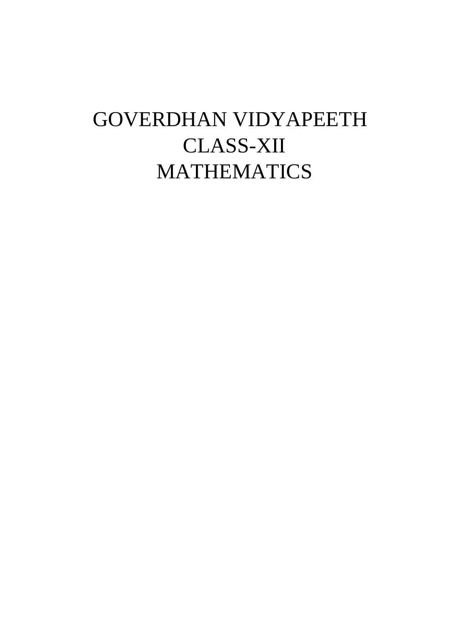# GOVERDHAN VIDYAPEETH **MATHEMATICS** CLASS-XII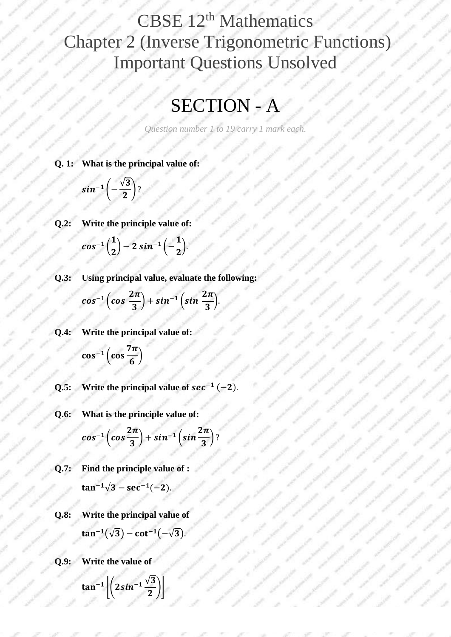# CBSE 12th Mathematics Chapter 2 (Inverse Trigonometric Functions) Important Questions Unsolved

# SECTION - A

*Question number 1 to 19 carry 1 mark each.*

**Q. 1: What is the principal value of:**

$$
sin^{-1}\left(-\frac{\sqrt{3}}{2}\right)?
$$

**Q.2: Write the principle value of:** 

$$
cos^{-1}\left(\frac{1}{2}\right)-2\,sin^{-1}\left(-\frac{1}{2}\right).
$$

**Q.3: Using principal value, evaluate the following:**

$$
\cos^{-1}\left(\cos\frac{2\pi}{3}\right)+\sin^{-1}\left(\sin\frac{2\pi}{3}\right).
$$

**Q.4: Write the principal value of:** 

$$
\cos^{-1}\left(\cos\frac{7\pi}{6}\right)
$$

- **Q.5:** Write the principal value of  $sec^{-1}(-2)$ .
- **Q.6: What is the principle value of:**

$$
cos^{-1}\left(cos\frac{2\pi}{3}\right)+sin^{-1}\left(sin\frac{2\pi}{3}\right)?
$$

- **Q.7: Find the principle value of :**  $\tan^{-1}\sqrt{3} - \sec^{-1}(-2)$ .
- **Q.8: Write the principal value of**   $\tan^{-1}(\sqrt{3}) - \cot^{-1}(-\sqrt{3}).$
- **Q.9: Write the value of**

$$
\tan^{-1}\left[\left(2\sin^{-1}\frac{\sqrt{3}}{2}\right)\right]
$$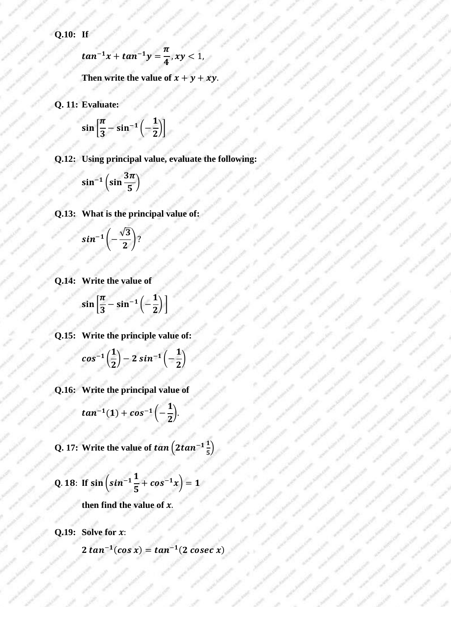$$
tan^{-1}x + tan^{-1}y = \frac{\pi}{4}, xy < 1,
$$

Then write the value of  $x + y + xy$ .

**Q. 11: Evaluate:**

$$
\sin\left[\frac{\pi}{3}-\sin^{-1}\left(-\frac{1}{2}\right)\right]
$$

**Q.12: Using principal value, evaluate the following:**

$$
\sin^{-1}\left(\sin\frac{3\pi}{5}\right)
$$

**Q.13: What is the principal value of:**

$$
\sin^{-1}\left(-\frac{\sqrt{3}}{2}\right)?
$$

**Q.14: Write the value of**

$$
\sin\left[\frac{\pi}{3}-\sin^{-1}\left(-\frac{1}{2}\right)\right]
$$

**Q.15: Write the principle value of:**

$$
cos^{-1}\left(\frac{1}{2}\right) - 2 sin^{-1}\left(-\frac{1}{2}\right)
$$

**Q.16: Write the principal value of** 

$$
tan^{-1}(1) + cos^{-1}\left(-\frac{1}{2}\right).
$$

**Q.** 17: Write the value of  $tan(2tan^{-1}\frac{1}{2})$  $\frac{1}{5}$ 

Q. 18: If  $sin(sin^{-1}\frac{1}{5})$ 5  $+ \cos^{-1} x = 1$ 

**then find the value of**  $x$ **.** 

**Q.19: Solve for** *x*:

$$
2\tan^{-1}(\cos x) = \tan^{-1}(2\csc x)
$$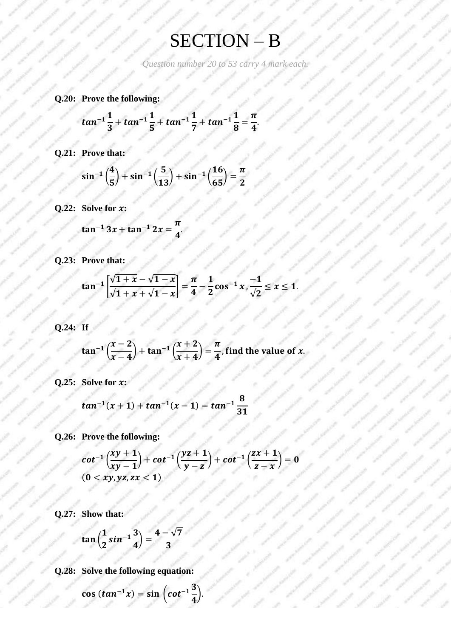# SECTION – B

*Question number 20 to 53 carry 4 mark each.*

**Q.20: Prove the following:**

$$
tan^{-1}\frac{1}{3} + tan^{-1}\frac{1}{5} + tan^{-1}\frac{1}{7} + tan^{-1}\frac{1}{8} = \frac{\pi}{4}.
$$

**Q.21: Prove that:** 

$$
\sin^{-1}\left(\frac{4}{5}\right) + \sin^{-1}\left(\frac{5}{13}\right) + \sin^{-1}\left(\frac{16}{65}\right) = \frac{\pi}{2}
$$

**Q.22: Solve for :**

$$
\tan^{-1} 3x + \tan^{-1} 2x = \frac{\pi}{4}.
$$

**Q.23: Prove that:**

$$
\tan^{-1}\left[\frac{\sqrt{1+x}-\sqrt{1-x}}{\sqrt{1+x}+\sqrt{1-x}}\right]=\frac{\pi}{4}-\frac{1}{2}\cos^{-1}x,\frac{-1}{\sqrt{2}}\leq x\leq 1.
$$

**Q.24: If**

$$
\tan^{-1}\left(\frac{x-2}{x-4}\right) + \tan^{-1}\left(\frac{x+2}{x+4}\right) = \frac{\pi}{4}
$$
, find the value of x.

**Q.25: Solve for :**

$$
tan^{-1}(x + 1) + tan^{-1}(x - 1) = tan^{-1}\frac{8}{31}
$$

**Q.26: Prove the following:**

$$
cot^{-1}\left(\frac{xy+1}{xy-1}\right) + cot^{-1}\left(\frac{yz+1}{y-z}\right) + cot^{-1}\left(\frac{zx+1}{z-x}\right) = 0
$$
  
(0 < xy, yz, zx < 1)

**Q.27: Show that:**

$$
\tan\left(\frac{1}{2}\sin^{-1}\frac{3}{4}\right)=\frac{4-\sqrt{7}}{3}
$$

**Q.28: Solve the following equation:**

$$
\cos\left(tan^{-1}x\right)=\sin\left(cot^{-1}\frac{3}{4}\right).
$$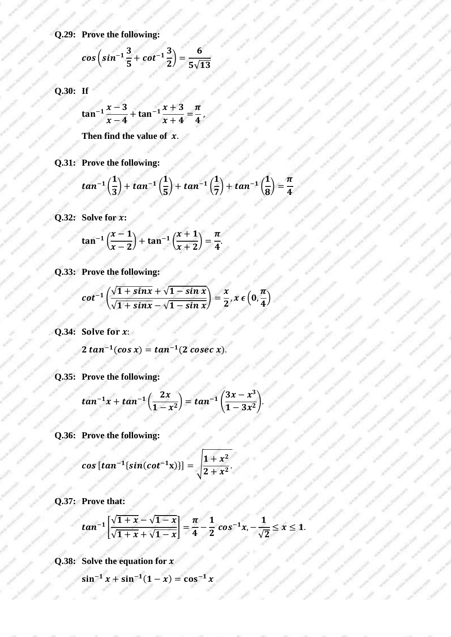**Q.29: Prove the following:**

$$
\cos\left(\sin^{-1}\frac{3}{5}+\cot^{-1}\frac{3}{2}\right)=\frac{6}{5\sqrt{13}}
$$

**Q.30: If** 

$$
\tan^{-1}\frac{x-3}{x-4}+\tan^{-1}\frac{x+3}{x+4}=\frac{\pi}{4},
$$

Then find the value of  $\chi$ .

**Q.31: Prove the following:**

$$
tan^{-1}\left(\frac{1}{3}\right) + tan^{-1}\left(\frac{1}{5}\right) + tan^{-1}\left(\frac{1}{7}\right) + tan^{-1}\left(\frac{1}{8}\right) = \frac{\pi}{4}
$$

**Q.32: Solve for :**

$$
\tan^{-1}\left(\frac{x-1}{x-2}\right) + \tan^{-1}\left(\frac{x+1}{x+2}\right) = \frac{\pi}{4}.
$$

**Q.33: Prove the following:** 

$$
\cot^{-1}\left(\frac{\sqrt{1+\sin x}+\sqrt{1-\sin x}}{\sqrt{1+\sin x}-\sqrt{1-\sin x}}\right)=\frac{x}{2}, x \in \left(0, \frac{\pi}{4}\right)
$$

Q.34: Solve for  $x$ :

 $2 \tan^{-1}(\cos x) = \tan^{-1}(2 \csc x).$ 

**Q.35: Prove the following:** 

$$
tan^{-1}x + tan^{-1}\left(\frac{2x}{1-x^2}\right) = tan^{-1}\left(\frac{3x-x^3}{1-3x^2}\right).
$$

**Q.36: Prove the following:**

$$
cos [tan^{-1}\{sin(cot^{-1}x)\}] = \sqrt{\frac{1+x^2}{2+x^2}}.
$$

**Q.37: Prove that:** 

$$
tan^{-1}\left[\frac{\sqrt{1+x}-\sqrt{1-x}}{\sqrt{1+x}+\sqrt{1-x}}\right]=\frac{\pi}{4}-\frac{1}{2}cos^{-1}x, -\frac{1}{\sqrt{2}}\leq x\leq 1.
$$

**Q.38: Solve the equation for** 

$$
\sin^{-1} x + \sin^{-1} (1 - x) = \cos^{-1} x
$$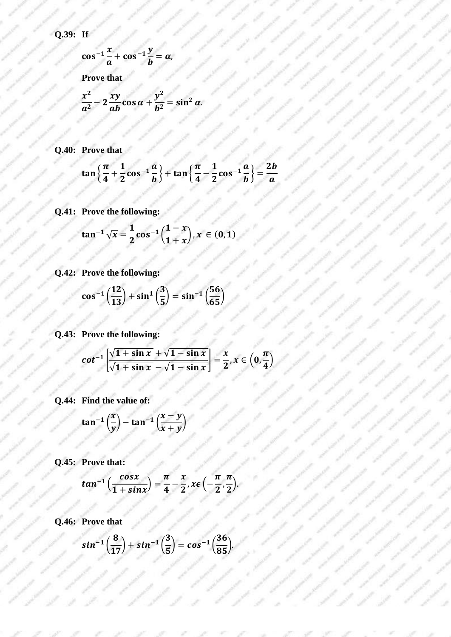**Q.39: If** 

$$
\cos^{-1}\frac{x}{a}+\cos^{-1}\frac{y}{b}=\alpha,
$$

**Prove that**

$$
\frac{x^2}{a^2}-2\frac{xy}{ab}\cos\alpha+\frac{y^2}{b^2}=\sin^2\alpha.
$$

**Q.40: Prove that**

$$
\tan\left\{\frac{\pi}{4} + \frac{1}{2}\cos^{-1}\frac{a}{b}\right\} + \tan\left\{\frac{\pi}{4} - \frac{1}{2}\cos^{-1}\frac{a}{b}\right\} = \frac{2b}{a}
$$

**Q.41: Prove the following:**

$$
\tan^{-1}\sqrt{x} = \frac{1}{2}\cos^{-1}\left(\frac{1-x}{1+x}\right), x \in (0,1)
$$

**Q.42: Prove the following:**

$$
\cos^{-1}\left(\frac{12}{13}\right) + \sin^1\left(\frac{3}{5}\right) = \sin^{-1}\left(\frac{56}{65}\right)
$$

**Q.43: Prove the following:**

$$
\cot^{-1}\left[\frac{\sqrt{1+\sin x}+\sqrt{1-\sin x}}{\sqrt{1+\sin x}-\sqrt{1-\sin x}}\right]=\frac{x}{2}, x\in\left(0,\frac{\pi}{4}\right)
$$

**Q.44: Find the value of:** 

$$
\tan^{-1}\left(\frac{x}{y}\right) - \tan^{-1}\left(\frac{x-y}{x+y}\right)
$$

**Q.45: Prove that:**

$$
tan^{-1}\left(\frac{cosx}{1+sinx}\right)=\frac{\pi}{4}-\frac{x}{2}, xe\left(-\frac{\pi}{2}, \frac{\pi}{2}\right).
$$

**Q.46: Prove that**

$$
sin^{-1}\left(\frac{8}{17}\right)+sin^{-1}\left(\frac{3}{5}\right)=cos^{-1}\left(\frac{36}{85}\right).
$$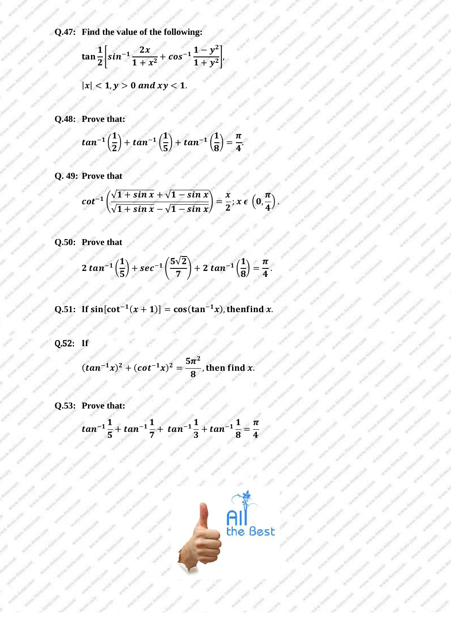**Q.47: Find the value of the following:**

$$
\tan\frac{1}{2}\left[\sin^{-1}\frac{2x}{1+x^2}+\cos^{-1}\frac{1-y^2}{1+y^2}\right],
$$
  

$$
|x|<1, y>0 \text{ and } xy<1.
$$

**Q.48: Prove that:**

$$
tan^{-1}\left(\frac{1}{2}\right) + tan^{-1}\left(\frac{1}{5}\right) + tan^{-1}\left(\frac{1}{8}\right) = \frac{\pi}{4}.
$$

**Q. 49: Prove that**

$$
\cot^{-1}\left(\frac{\sqrt{1+\sin x}+\sqrt{1-\sin x}}{\sqrt{1+\sin x}-\sqrt{1-\sin x}}\right)=\frac{x}{2}; x \in \left(0,\frac{\pi}{4}\right).
$$

**Q.50: Prove that** 

$$
2 \tan^{-1}\left(\frac{1}{5}\right) + \sec^{-1}\left(\frac{5\sqrt{2}}{7}\right) + 2 \tan^{-1}\left(\frac{1}{8}\right) = \frac{\pi}{4}.
$$

**Q.51:** If  $\sin[\cot^{-1}(x+1)] = \cos(\tan^{-1}x)$ , thenfind x.

### Q.52:

$$
(tan^{-1}x)^2 + (cot^{-1}x)^2 = \frac{5\pi^2}{8}
$$
, then find x.

**Q.53: Prove that:**

$$
tan^{-1}\frac{1}{5} + tan^{-1}\frac{1}{7} + tan^{-1}\frac{1}{3} + tan^{-1}\frac{1}{8} = \frac{\pi}{4}
$$

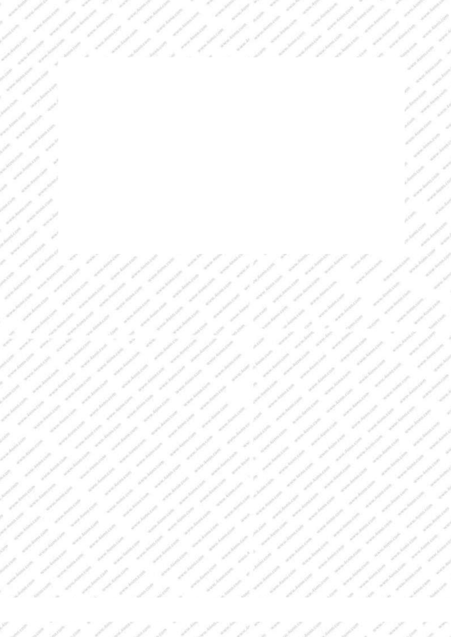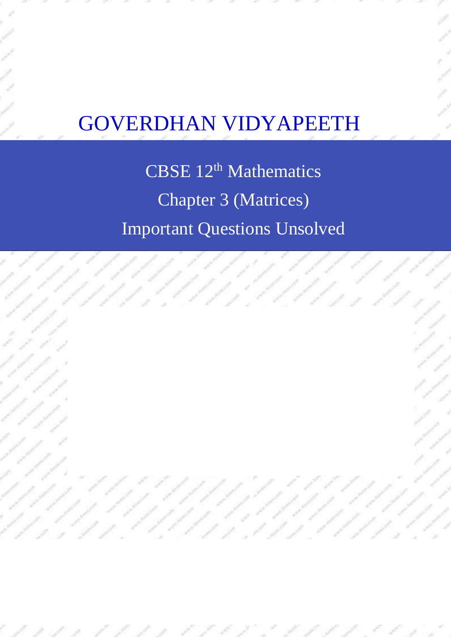### Previous Year, Practice Papers with solutions. GOVERDHAN VIDYAPEETH

CBSE 12th Mathematics Chapter 3 (Matrices) Important Questions Unsolved



マンファン アメノン・ノン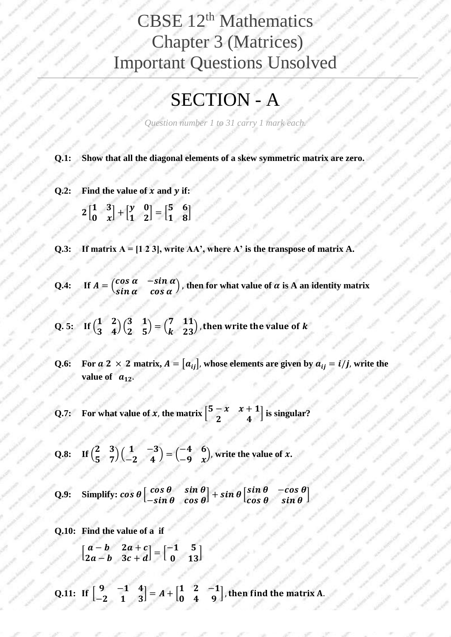# CBSE 12th Mathematics Chapter 3 (Matrices) Important Questions Unsolved

# SECTION - A

*Question number 1 to 31 carry 1 mark each.*

**Q.1:** Show that all the diagonal elements of a skew symmetric matrix are zero.

- **Q.2:** Find the value of  $x$  and  $y$  if:
	- $2\begin{bmatrix} 1 & 3 \\ 0 & 2 \end{bmatrix}$  $\begin{bmatrix} 1 & 3 \\ 0 & x \end{bmatrix} + \begin{bmatrix} y & 0 \\ 1 & 2 \end{bmatrix}$  $\begin{bmatrix} y & 0 \\ 1 & 2 \end{bmatrix} = \begin{bmatrix} 5 & 6 \\ 1 & 8 \end{bmatrix}$  $\begin{bmatrix} 1 & 8 \end{bmatrix}$
- **Q.3: If matrix A = [1 2 3], write AA', where A' is the transpose of matrix A.**

Q.4: If  $A = \begin{pmatrix} \cos \alpha & -\sin \alpha \\ \sin \alpha & \cos \alpha \end{pmatrix}$  $\begin{pmatrix} \cos \alpha & -\sin \alpha \\ \sin \alpha & \cos \alpha \end{pmatrix}$ , then for what value of  $\alpha$  is A an identity matrix

- Q. 5: If  $\begin{pmatrix} 1 & 2 \\ 2 & 4 \end{pmatrix}$  $\begin{pmatrix} 1 & 2 \\ 3 & 4 \end{pmatrix} \begin{pmatrix} 3 & 1 \\ 2 & 5 \end{pmatrix}$  $\begin{pmatrix} 3 & 1 \\ 2 & 5 \end{pmatrix} = \begin{pmatrix} 7 & 11 \\ k & 23 \end{pmatrix}$ , then write the value of k
- **Q.6:** For  $a \, 2 \times 2$  matrix,  $A = [a_{ij}]$ , whose elements are given by  $a_{ij} = i/j$ , write the value of  $a_{12}$ .

**Q.7:** For what value of *x*, the matrix  $\begin{bmatrix} 5-x & x+1 \\ 2 & 4 \end{bmatrix}$  $\begin{bmatrix} -\lambda & \lambda + 1 \\ 2 & 4 \end{bmatrix}$  is singular?

- **Q.8: If**  $\begin{pmatrix} 2 & 3 \\ 7 & 7 \end{pmatrix}$  $\binom{2}{5}$  $\binom{1}{-2}$  $\binom{-3}{4}$  $\begin{pmatrix} 1 & -3 \\ -2 & 4 \end{pmatrix} = \begin{pmatrix} -4 & 6 \\ -9 & x \end{pmatrix}$  $\begin{pmatrix} -4 & 0 \\ -9 & x \end{pmatrix}$ , write the value of *x*.
- **Q.9:** Simplify:  $\cos \theta$   $\begin{bmatrix} \cos \theta & \sin \theta \\ \sin \theta & \cos \theta \end{bmatrix}$  $[-\sin\theta \quad \cos\theta \quad \sin\theta] + \sin\theta \left[\begin{matrix} \sin\theta & -\cos\theta \ \cos\theta & \sin\theta \end{matrix}\right]$  $\begin{bmatrix} \cos \theta & \sin \theta \end{bmatrix}$

**Q.10: Find the value of a if**

 $\begin{bmatrix} a-b & 2a+c \\ 2a & b & 2a+d \end{bmatrix}$  $\begin{bmatrix} a-b & 2a+c \\ 2a-b & 3c+d \end{bmatrix} = \begin{bmatrix} -1 & 5 \\ 0 & 13 \end{bmatrix}$ 

Q.11: If  $\begin{bmatrix} 9 & -1 & 4 \\ 2 & 1 & 2 \end{bmatrix}$  $\begin{bmatrix} 9 & -1 & 4 \\ -2 & 1 & 3 \end{bmatrix} = A + \begin{bmatrix} 1 & 2 & -1 \\ 0 & 4 & 9 \end{bmatrix}$  $\begin{bmatrix} 1 & 2 \\ 0 & 4 \end{bmatrix}$ , then find the matrix A.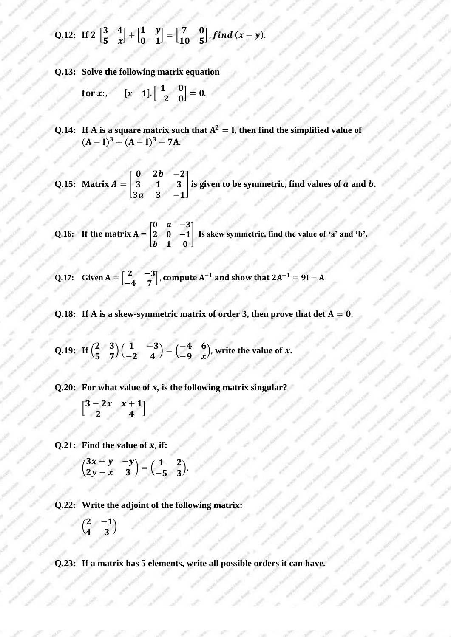Q.12: If 
$$
2\begin{bmatrix} 3 & 4 \\ 5 & x \end{bmatrix} + \begin{bmatrix} 1 & y \\ 0 & 1 \end{bmatrix} = \begin{bmatrix} 7 & 0 \\ 10 & 5 \end{bmatrix}
$$
, find  $(x - y)$ .

**Q.13: Solve the following matrix equation** 

for x:, 
$$
[x \t1].\begin{bmatrix} 1 & 0 \\ -2 & 0 \end{bmatrix} = 0.
$$

**Q.14:** If A is a square matrix such that  $A^2 = I$ , then find the simplified value of  $(A - I)^3 + (A - I)^3 - 7A.$ 

**Q.15: Matrix**  $A =$  $0 \t2b -2$  $3 \quad 1 \quad 3$  $3a \quad 3 \quad -1$ **is given to be symmetric, find values of a and b.** 

Q.16: If the matrix  $A =$ 0  $a -3$  $2 \t0 \t-1$  $b\quad 1\quad 0$ ] **Is skew symmetric, find the value of 'a' and 'b'.**

**Q.17: Given A** =  $\begin{bmatrix} 2 & -3 \\ 4 & 7 \end{bmatrix}$  $\begin{bmatrix} 2 & -3 \\ -4 & 7 \end{bmatrix}$ , compute A<sup>-1</sup> and show that  $2A^{-1} = 9I - A$ 

**Q.18:** If A is a skew-symmetric matrix of order 3, then prove that  $\det A = 0$ .

**Q.19: If**  $\begin{pmatrix} 2 & 3 \\ 7 & 7 \end{pmatrix}$  $\begin{pmatrix} 2 & 3 \\ 5 & 7 \end{pmatrix} \begin{pmatrix} 1 & -3 \\ -2 & 4 \end{pmatrix}$  $\begin{pmatrix} 1 & -3 \\ -2 & 4 \end{pmatrix} = \begin{pmatrix} -4 & 6 \\ -9 & x \end{pmatrix}$  $\begin{bmatrix} -4 & 0 \\ -9 & x \end{bmatrix}$ , write the value of *x*.

**Q.20: For what value of** *x,* **is the following matrix singular?**

$$
\begin{bmatrix} 3-2x & x+1 \\ 2 & 4 \end{bmatrix}
$$

**Q.21:** Find the value of  $x$ , if:

$$
\begin{pmatrix} 3x+y & -y \ 2y-x & 3 \end{pmatrix} = \begin{pmatrix} 1 & 2 \ -5 & 3 \end{pmatrix}.
$$

**Q.22: Write the adjoint of the following matrix:**

$$
\begin{pmatrix}2 & -1\\4 & 3\end{pmatrix}
$$

**Q.23: If a matrix has 5 elements, write all possible orders it can have.**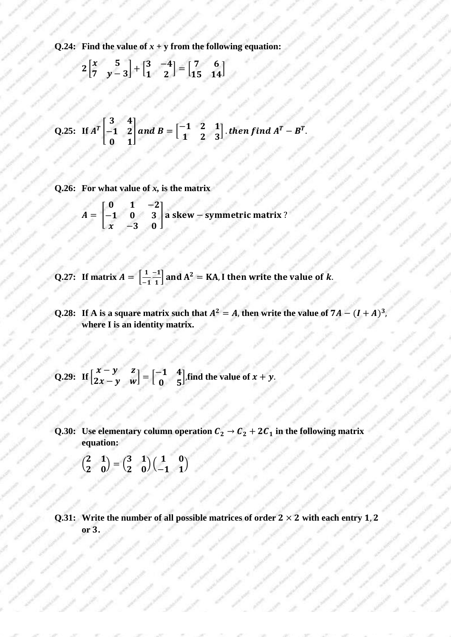**Q.24:** Find the value of  $x + y$  from the following equation:

$$
2\begin{bmatrix} x & 5 \\ 7 & y-3 \end{bmatrix} + \begin{bmatrix} 3 & -4 \\ 1 & 2 \end{bmatrix} = \begin{bmatrix} 7 & 6 \\ 15 & 14 \end{bmatrix}
$$

Q.25: If 
$$
A^T
$$
  $\begin{bmatrix} 3 & 4 \\ -1 & 2 \\ 0 & 1 \end{bmatrix}$  and  $B = \begin{bmatrix} -1 & 2 & 1 \\ 1 & 2 & 3 \end{bmatrix}$ . then find  $A^T - B^T$ 

**Q.26: For what value of** *x,* **is the matrix**

$$
A = \begin{bmatrix} 0 & 1 & -2 \\ -1 & 0 & 3 \\ x & -3 & 0 \end{bmatrix}
$$
 a skew - symmetric matrix ?

- **Q.27: If matrix**  $A = \begin{bmatrix} 1 \end{bmatrix}$  $-1$ −  $\left[\frac{-1}{1}\right]$  and  $A^2 = KA$ , I then write the value of k.
- Q.28: If A is a square matrix such that  $A^2 = A$ , then write the value of  $7A (I + A)^3$ , **where I is an identity matrix.**

.

**Q.29: If** [  $x-y$  z  $\begin{bmatrix} x-y & z \\ 2x-y & w \end{bmatrix} = \begin{bmatrix} -1 & 4 \\ 0 & 5 \end{bmatrix}$  $\begin{bmatrix} 1 & 4 \\ 0 & 5 \end{bmatrix}$ , find the value of  $x + y$ .

- **Q.30:** Use elementary column operation  $C_2 \rightarrow C_2 + 2C_1$  in the following matrix **equation:**
	- $\begin{pmatrix} 2 & 1 \\ 2 & 0 \end{pmatrix}$  $\begin{pmatrix} 2 & 1 \ 2 & 0 \end{pmatrix} = \begin{pmatrix} 3 & 1 \ 2 & 0 \end{pmatrix}$  $\begin{pmatrix} 3 & 1 \ 2 & 0 \end{pmatrix} \begin{pmatrix} 1 & 0 \ -1 & 1 \end{pmatrix}$  $\begin{pmatrix} 1 & 0 \\ -1 & 1 \end{pmatrix}$
- **Q.31:** Write the number of all possible matrices of order  $2 \times 2$  with each entry 1, 2 **or .**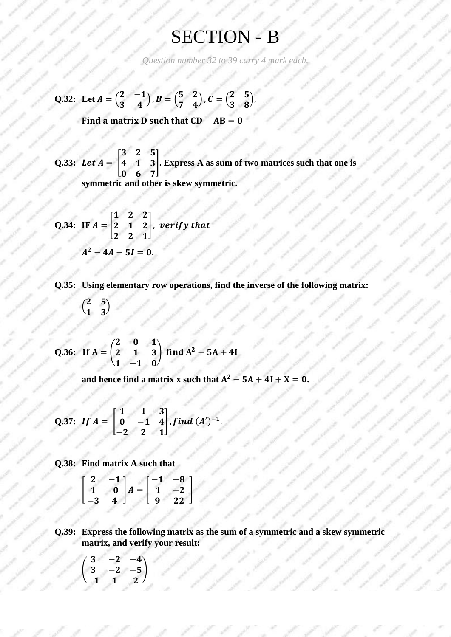# SECTION - B

*Question number 32 to 39 carry 4 mark each.*

Q.32: Let 
$$
A = \begin{pmatrix} 2 & -1 \\ 3 & 4 \end{pmatrix}
$$
,  $B = \begin{pmatrix} 5 & 2 \\ 7 & 4 \end{pmatrix}$ ,  $C = \begin{pmatrix} 2 & 5 \\ 3 & 8 \end{pmatrix}$ ,

Find a matrix D such that  $CD - AB = 0$ 

**Q.33:** Let  $A =$  $3\quad 2\quad 5$  $4$  1 3  $0\t6\t7$ ]**. Express A as sum of two matrices such that one is symmetric and other is skew symmetric.**

**Q.34:** IF  $A =$  $1\quad 2\quad 2$ 2 1 2  $2 \quad 2 \quad 1$  $\vert$ , verify that  $A^2 - 4A - 5I = 0.$ 

**Q.35: Using elementary row operations, find the inverse of the following matrix:**

 $\begin{pmatrix} 2 & 5 \\ 1 & 2 \end{pmatrix}$  $\begin{pmatrix} 2 & 3 \\ 1 & 3 \end{pmatrix}$ 

Q.36: If 
$$
A = \begin{pmatrix} 2 & 0 & 1 \\ 2 & 1 & 3 \\ 1 & -1 & 0 \end{pmatrix}
$$
 find  $A^2 - 5A + 4I$ 

and hence find a matrix x such that  $A^2 - 5A + 4I + X = 0$ .

]

Q.37: If 
$$
A = \begin{bmatrix} 1 & 1 & 3 \\ 0 & -1 & 4 \\ -2 & 2 & 1 \end{bmatrix}
$$
, find  $(A')^{-1}$ 

**Q.38: Find matrix A such that**

|                                        |   | $-11$                                                                             | $\lceil -1 \rceil$ | $-8$ |
|----------------------------------------|---|-----------------------------------------------------------------------------------|--------------------|------|
| $\begin{bmatrix} 2 \\ 1 \end{bmatrix}$ |   | $\begin{bmatrix} 0 & A \\ \end{bmatrix} = \begin{bmatrix} 1 & A \\ \end{bmatrix}$ |                    | $-2$ |
| $\lfloor -3 \rfloor$                   | 4 |                                                                                   | $\sqrt{9}$         | 22   |

**Q.39: Express the following matrix as the sum of a symmetric and a skew symmetric matrix, and verify your result:** 

.

(  $3 -2 -4$  $3 -2 -5$  $-1$  1 2 )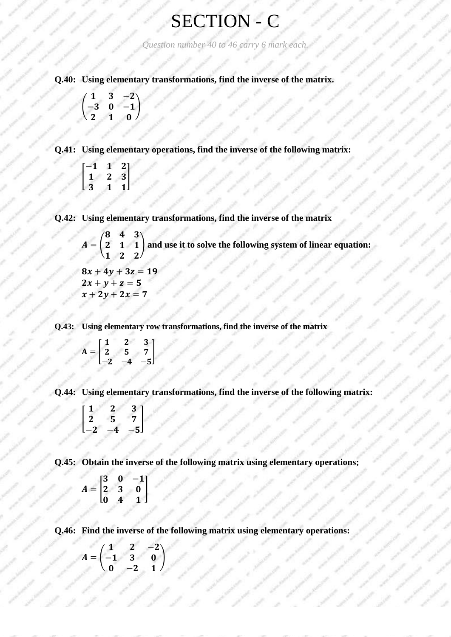# SECTION - C

*Question number 40 to 46 carry 6 mark each.*

**Q.40: Using elementary transformations, find the inverse of the matrix.**

(  $1 \quad 3 \quad -2$  $-3$  0  $-1$  $2 \quad 1 \quad 0$ )

**Q.41: Using elementary operations, find the inverse of the following matrix:**

|                                    | 1              |                                        |
|------------------------------------|----------------|----------------------------------------|
| $\Big\lceil\frac{-1}{1}\Big\rceil$ | $\overline{2}$ | $\begin{bmatrix} 2 \\ 3 \end{bmatrix}$ |
| l 3                                | 1              | $\overline{1}$                         |

**Q.42: Using elementary transformations, find the inverse of the matrix** 

$$
A = \begin{pmatrix} 8 & 4 & 3 \\ 2 & 1 & 1 \\ 1 & 2 & 2 \end{pmatrix}
$$
 and use it to solve the following system of linear equation:  

$$
8x + 4y + 3z = 19
$$

$$
2x + y + z = 5
$$

$$
x + 2y + 2x = 7
$$

**Q.43: Using elementary row transformations, find the inverse of the matrix**

|                                            |      | $\mathbf{2}^{\prime}$ |                                              |  |
|--------------------------------------------|------|-----------------------|----------------------------------------------|--|
| $A = \begin{bmatrix} 1 \\ 2 \end{bmatrix}$ |      | 5 <sup>5</sup>        | $\begin{bmatrix} 3 \\ 7 \\ -5 \end{bmatrix}$ |  |
|                                            | $-2$ | $-4$                  |                                              |  |

**Q.44: Using elementary transformations, find the inverse of the following matrix:**

| $\perp$      | 2  | 3 ]            |
|--------------|----|----------------|
| $\mathbf{2}$ | 5  | $\overline{7}$ |
| $1 - 2$      | -4 | $-5$           |

**Q.45: Obtain the inverse of the following matrix using elementary operations;**

| $A = \begin{bmatrix} 3 \\ 2 \end{bmatrix}$ |                | 0 |                                         |
|--------------------------------------------|----------------|---|-----------------------------------------|
|                                            |                | 3 | $\begin{bmatrix} -1 \\ 0 \end{bmatrix}$ |
|                                            | $\overline{0}$ | 4 | 1 <sup>1</sup>                          |

**Q.46: Find the inverse of the following matrix using elementary operations:**

$$
A = \begin{pmatrix} 1 & 2 & -2 \\ -1 & 3 & 0 \\ 0 & -2 & 1 \end{pmatrix}
$$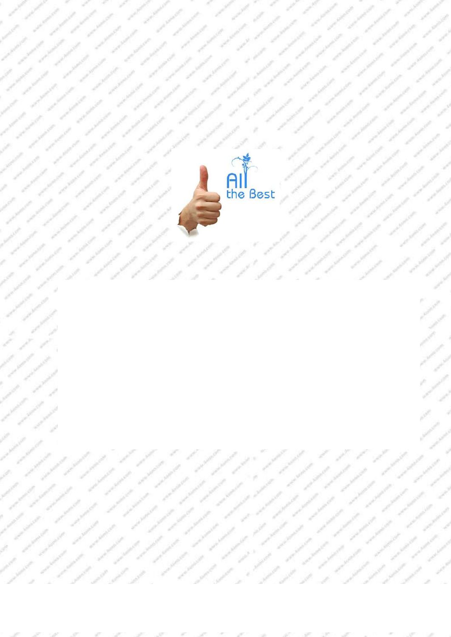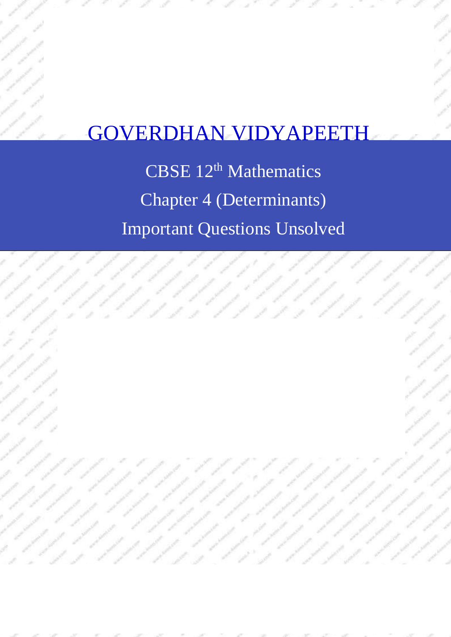# GOVERDHAN VIDYAPEETH

CBSE 12th Mathematics Chapter 4 (Determinants) Important Questions Unsolved

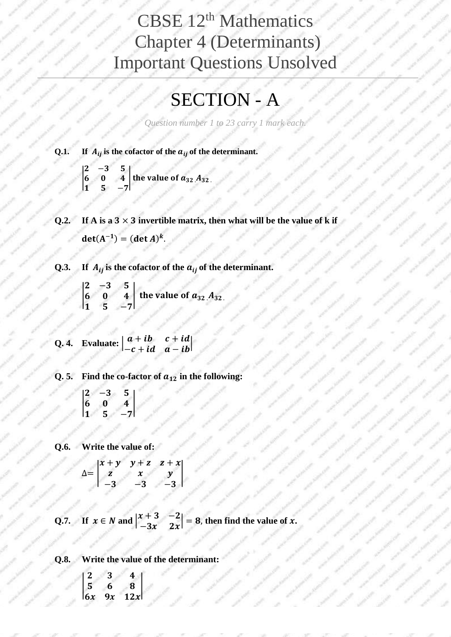# CBSE 12<sup>th</sup> Mathematics Chapter 4 (Determinants) Important Questions Unsolved

# SECTION - A

*Question number 1 to 23 carry 1 mark each.*

Q.1. **If**  $A_{ij}$  is the cofactor of the  $a_{ij}$  of the determinant.

|  $2 -3$  5  $6 \t 0 \t 4$  $1 \quad 5 \quad -7$ the value of  $a_{32}A_{32}$ .

**Q.2.** If A is a  $3 \times 3$  invertible matrix, then what will be the value of k if  $\det(A^{-1}) = (\det A)^k$ .

Q.3. **If**  $A_{ij}$  is the cofactor of the  $a_{ij}$  of the determinant.

- |  $2 -3$  5  $\begin{array}{ccccc}\n6 & 0 & 4\n\end{array}$  $1 \quad 5 \quad -7$ the value of  $a_{32}A_{32}$ .
- Q. 4. Evaluate:  $\begin{vmatrix} a+ib & c+id \\ -c+id & a-ib \end{vmatrix}$

Q. 5. Find the co-factor of  $a_{12}$  in the following:

|  $2 -3 - 5$  $6 \t0 \t4$  $1\quad 5\quad -7$ |

**Q.6. Write the value of:** 

$$
\Delta = \begin{vmatrix} x+y & y+z & z+x \\ z & x & y \\ -3 & -3 & -3 \end{vmatrix}
$$

**Q.7. If**  $x \in N$  and  $\begin{vmatrix} x+3 & -2 \\ -3x & 2x \end{vmatrix} = 8$ , then find the value of  $x$ .

**Q.8. Write the value of the determinant:** 

|  $2 \quad 3 \quad 4$  $5\quad 6\quad 8$  $6x$   $9x$   $12x$ |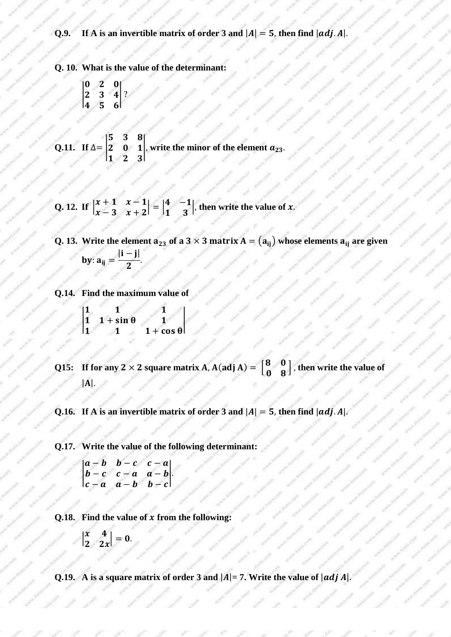### **Q.9.** If A is an invertible matrix of order 3 and  $|A| = 5$ , then find  $|adj. A|$ .

- **Q. 10. What is the value of the determinant:** 
	- |  $0\quad 2\quad 0$  $2 \quad 3 \quad 4$  $4\quad 5\quad 6$ | ?

**Q.11. If**  $∆=$  |  $5\quad 3\quad 8$ 2 0 1  $1\quad 2\quad 3$ , write the minor of the element  $a_{23}$ .

Q. 12. If  $\begin{vmatrix} x+1 & x-1 \\ 1 & 2 & x+2 \end{vmatrix}$  $\begin{vmatrix} x+1 & x-1 \\ x-3 & x+2 \end{vmatrix} = \begin{vmatrix} 4 & -1 \\ 1 & 3 \end{vmatrix}$  $\begin{bmatrix} 1 & -1 \\ 1 & 3 \end{bmatrix}$ , then write the value of x.

**Q. 13.** Write the element  $a_{23}$  of a 3  $\times$  3 matrix  $A = (a_{ij})$  whose elements  $a_{ij}$  are given by:  $a_{ij} =$  $|i - j|$  $\overline{c}$ .

**Q.14. Find the maximum value of** 

|  $1 \quad 1 \quad 1$  $1 + \sin \theta$  1  $1 \quad 1 \quad 1 + \cos \theta$ |

**Q15:** If for any  $2 \times 2$  square matrix **A**,  $A(ad \, \mathbf{i} \, \mathbf{A}) = \begin{bmatrix} 8 & 0 \\ 0 & 8 \end{bmatrix}$  $\begin{bmatrix} 0 & 0 \\ 0 & 8 \end{bmatrix}$ , then write the value of  $|A|$ .

Q.16. If A is an invertible matrix of order 3 and  $|A| = 5$ , then find  $|adj. A|$ .

**Q.17. Write the value of the following determinant:** 

|  $a - b$   $b - c$   $c - a$  $b - c$   $c - a$   $a - b$  $c - a$   $a - b$   $b - c$ |.

- **Q.18.** Find the value of  $x$  from the following
	- $\begin{vmatrix} x & 4 \\ 2 & 2x \end{vmatrix} = 0.$

**Q.19.** A is a square matrix of order 3 and  $|A|=7$ . Write the value of  $|adj A|$ .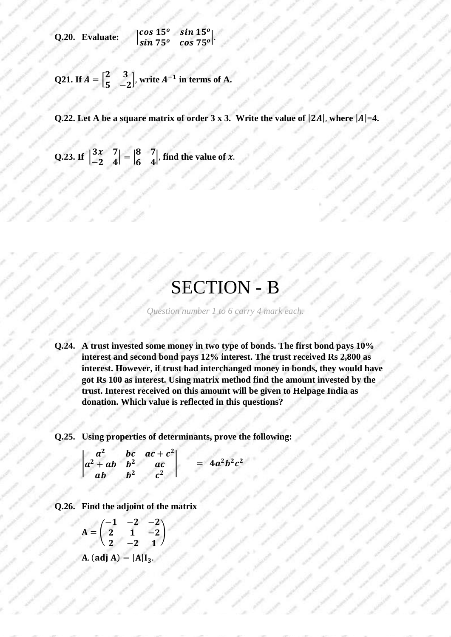**Q.20. Evaluate:** |  $cos 15^o$   $sin 15^o$  $\begin{vmatrix} \cos 15 & \sin 15 \\ \sin 75^{\circ} & \cos 75^{\circ} \end{vmatrix}$ .

**Q21.** If  $A = \begin{bmatrix} 2 & 3 \\ 1 & 3 \end{bmatrix}$  $\begin{bmatrix} 2 & 3 \\ 5 & -2 \end{bmatrix}$ , write  $A^{-1}$  in terms of A.

**Q.22.** Let A be a square matrix of order  $3 \times 3$ . Write the value of  $|2A|$ , where  $|A|=4$ .

**Q.23.** If  $\begin{bmatrix} 3x & 7 \\ 2 & 4 \end{bmatrix}$  $\begin{vmatrix} 3x & 7 \\ -2 & 4 \end{vmatrix} = \begin{vmatrix} 8 & 7 \\ 6 & 4 \end{vmatrix}$  $\begin{bmatrix} 6 & 4 \end{bmatrix}$ , find the value of *x*.

# SECTION - B

*Question number 1 to 6 carry 4 mark each.*

- **Q.24. A trust invested some money in two type of bonds. The first bond pays 10% interest and second bond pays 12% interest. The trust received Rs 2,800 as interest. However, if trust had interchanged money in bonds, they would have got Rs 100 as interest. Using matrix method find the amount invested by the trust. Interest received on this amount will be given to Helpage India as donation. Which value is reflected in this questions?**
- **Q.25. Using properties of determinants, prove the following:**

|  $a^2$  bc  $ac+c^2$  $a^2 + ab$   $b^2$  ac ab  $b^2$   $c^2$  $= 4a^2b^2c^2$ 

**Q.26. Find the adjoint of the matrix**

$$
A = \begin{pmatrix} -1 & -2 & -2 \\ 2 & 1 & -2 \\ 2 & -2 & 1 \end{pmatrix}
$$

 $A. (adj A) = |A| I_3$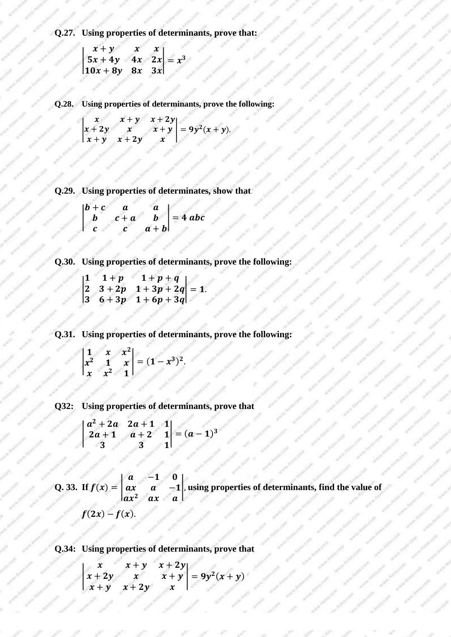**Q.27. Using properties of determinants, prove that:**

 $\begin{vmatrix} 5x + 4y & 4x & 2x \\ 10x + 8y & 8x & 3x \end{vmatrix} = x$  $x + y$  x x  $5x + 4y + 4x + 2x = x^3$ 

**Q.28. Using properties of determinants, prove the following:**

|  $x + y + x + 2y$  $x + 2y$  x  $x + y$  $x + y$   $x + 2y$  x  $= 9y^2(x+y).$ 

**Q.29. Using properties of determinates, show that***:*

|  $b+c$  a a  $b$   $c + a$   $b$  $c$   $c$   $a+b$  $= 4abc$ 

**Q.30. Using properties of determinants, prove the following:**

 $\begin{vmatrix} 2 & 3+2p & 1+3p+2q \\ 3 & 6+3p & 1+6p+3q \end{vmatrix} = 1.$  $1 + p + 1 + p + q$ 

**Q.31. Using properties of determinants, prove the following:** 

$$
\begin{vmatrix} 1 & x & x^2 \\ x^2 & 1 & x \\ x & x^2 & 1 \end{vmatrix} = (1 - x^3)^2.
$$

**Q32: Using properties of determinants, prove that**

|  $a^2 + 2a \quad 2a + 1 \quad 1$  $2a + 1$   $a + 2$  1  $3 \t 3 \t 1$  $| = (a-1)^3$ 

**Q.** 33. **If**  $f(x) =$  $a = -1 0$  $ax \quad a \quad -1$  $ax^2$  ax a |, **using properties of determinants, find the value of**  $f(2x) - f(x)$ .

**Q.34: Using properties of determinants, prove that** 

|  $x$   $x + y$   $x + 2y$  $x + 2y$  x  $x + y$  $x + y$   $x + 2y$  x  $= 9y^2(x + y)$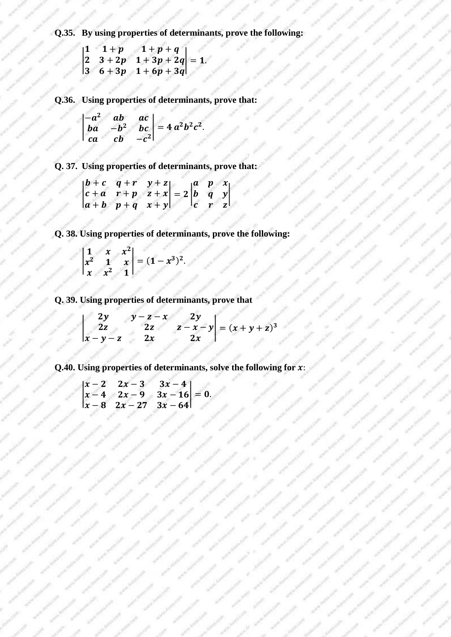**Q.35. By using properties of determinants, prove the following:** 

| 1 1+p  $1 + p + q$ 2  $3 + 2p$   $1 + 3p + 2q$  = 1.<br>3  $6 + 3p$   $1 + 6p + 3q$ 

**Q.36. Using properties of determinants, prove that:**

$$
\begin{vmatrix} -a^2 & ab & ac \\ ba & -b^2 & bc \\ ca & cb & -c^2 \end{vmatrix} = 4 a^2 b^2 c^2.
$$

**Q. 37. Using properties of determinants, prove that:** 

| $\begin{vmatrix} b+c & q+r & y+z \\ c+a & r+p & z+x \\ a+b & p+q & x+y \end{vmatrix} = 2 \begin{vmatrix} a & p & x \\ b & q & y \\ c & r & z \end{vmatrix}$ |  |  |  |
|-------------------------------------------------------------------------------------------------------------------------------------------------------------|--|--|--|
|                                                                                                                                                             |  |  |  |

**Q. 38. Using properties of determinants, prove the following:** 

$$
\begin{vmatrix} 1 & x & x^2 \\ x^2 & 1 & x \\ x & x^2 & 1 \end{vmatrix} = (1 - x^3)^2.
$$

**Q. 39. Using properties of determinants, prove that** 

| $1 \quad 2y$   | $y-z-x$ 2y |    |                        |
|----------------|------------|----|------------------------|
| $\frac{2z}{2}$ |            |    | 2z $z-x-y = (x+y+z)^3$ |
| $ x-y-z $      | 2x         | 2x |                        |

**Q.40. Using properties of determinants, solve the following for** :

$$
\begin{vmatrix} x-2 & 2x-3 & 3x-4 \ x-4 & 2x-9 & 3x-16 \ x-8 & 2x-27 & 3x-64 \ \end{vmatrix} = 0.
$$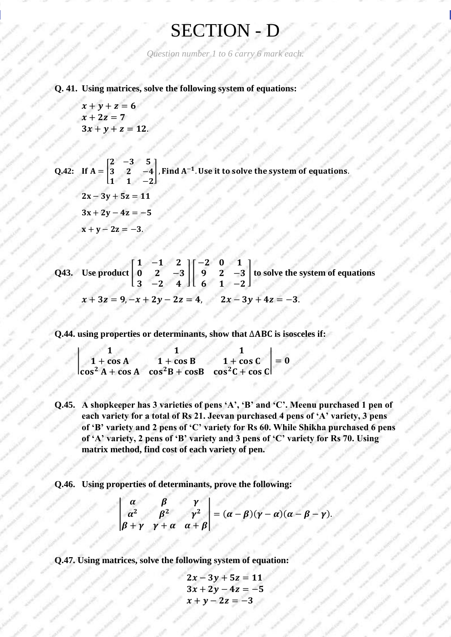# SECTION - D

*Question number 1 to 6 carry 6 mark each.*

#### **Q. 41. Using matrices, solve the following system of equations:**

 $x + y + z = 6$  $x + 2z = 7$  $3x + y + z = 12$ .

 $Q.42:$  If  $A =$  $2 -3$  5  $3 \t2 \t-4$  $1 \quad 1 \quad -2$  $\int$ , Find A<sup>-1</sup>. Use it to solve the system of equations.  $2x - 3y + 5z = 11$  $3x + 2y - 4z = -5$  $x + y - 2z = -3.$ 

**Q43. Use product** [  $1 -1 2$  $0 \t2 \t-3$  $3 -2 4$  $\mathbf{I}$ −2 0 1  $9$  2  $-3$  $6$  1  $-2$ ] **to solve the system of equations**  $x + 3z = 9, -x + 2y - 2z = 4,$   $2x - 3y + 4z = -3.$ 

Q.44. using properties or determinants, show that ∆ABC is isosceles if:

|  $1 \times 1 \times 1$  $1 + \cos A$   $1 + \cos B$   $1 + \cos C$  $\cos^2 A + \cos A \cos^2 B + \cos B \cos^2 C + \cos C$  $\vert = 0$ 

**Q.45. A shopkeeper has 3 varieties of pens 'A', 'B' and 'C'. Meenu purchased 1 pen of each variety for a total of Rs 21. Jeevan purchased 4 pens of 'A' variety, 3 pens of 'B' variety and 2 pens of 'C' variety for Rs 60. While Shikha purchased 6 pens of 'A' variety, 2 pens of 'B' variety and 3 pens of 'C' variety for Rs 70. Using matrix method, find cost of each variety of pen.**

#### **Q.46. Using properties of determinants, prove the following:**

$$
\begin{vmatrix} \alpha & \beta & \gamma \\ \alpha^2 & \beta^2 & \gamma^2 \\ \beta + \gamma & \gamma + \alpha & \alpha + \beta \end{vmatrix} = (\alpha - \beta)(\gamma - \alpha)(\alpha - \beta - \gamma).
$$

**Q.47. Using matrices, solve the following system of equation:** 

$$
2x-3y+5z = 11
$$
  
\n
$$
3x + 2y - 4z = -5
$$
  
\n
$$
x + y - 2z = -3
$$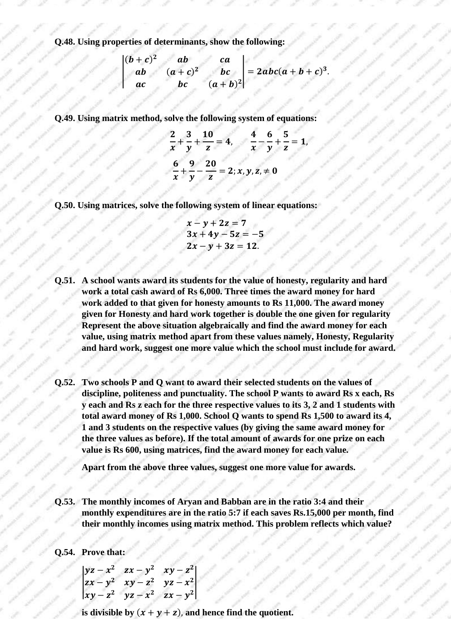**Q.48. Using properties of determinants, show the following:** 

$$
\begin{vmatrix} (b+c)^2 & ab & ca \ ab & (a+c)^2 & bc \ ac & bc & (a+b)^2 \end{vmatrix} = 2abc(a+b+c)^3
$$

.

**Q.49. Using matrix method, solve the following system of equations:**

$$
\frac{2}{x} + \frac{3}{y} + \frac{10}{z} = 4, \qquad \frac{4}{x} - \frac{6}{y} + \frac{5}{z} = 1,
$$
  

$$
\frac{6}{x} + \frac{9}{y} - \frac{20}{z} = 2; x, y, z \neq 0
$$

**Q.50. Using matrices, solve the following system of linear equations:** 

$$
x-y+2z=7
$$
  
3x+4y-5z=-5  

$$
2x-y+3z=12.
$$

- **Q.51. A school wants award its students for the value of honesty, regularity and hard work a total cash award of Rs 6,000. Three times the award money for hard work added to that given for honesty amounts to Rs 11,000. The award money given for Honesty and hard work together is double the one given for regularity Represent the above situation algebraically and find the award money for each value, using matrix method apart from these values namely, Honesty, Regularity and hard work, suggest one more value which the school must include for award.**
- **Q.52. Two schools P and Q want to award their selected students on the values of discipline, politeness and punctuality. The school P wants to award Rs x each, Rs y each and Rs z each for the three respective values to its 3, 2 and 1 students with total award money of Rs 1,000. School Q wants to spend Rs 1,500 to award its 4, 1 and 3 students on the respective values (by giving the same award money for the three values as before). If the total amount of awards for one prize on each value is Rs 600, using matrices, find the award money for each value.**

**Apart from the above three values, suggest one more value for awards.**

**Q.53. The monthly incomes of Aryan and Babban are in the ratio 3:4 and their monthly expenditures are in the ratio 5:7 if each saves Rs.15,000 per month, find their monthly incomes using matrix method. This problem reflects which value?**

#### **Q.54. Prove that:**

|  $yz-x^2$   $zx-y^2$   $xy-z^2$  $zx-y^2$   $xy-z^2$   $yz-x^2$  $xy-z^2$  yz  $-x^2$  zx  $-y^2$ |

is divisible by  $(x + y + z)$ , and hence find the quotient.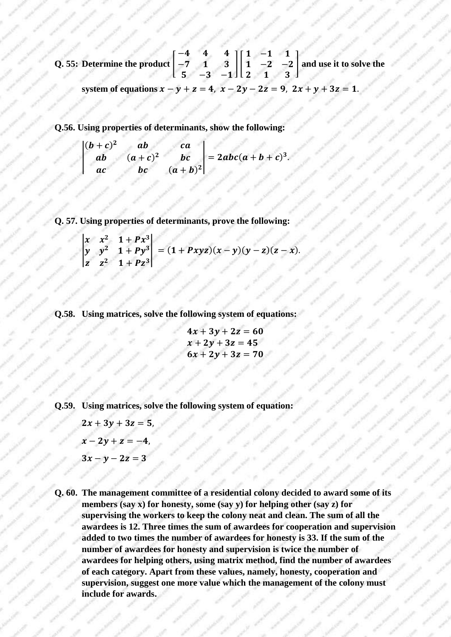- **Q. 55: Determine the product** [  $-4$  4 4  $-7$  1 3  $5 - 3 - 1$  $\prod$  $1 -1 -1$  $1 -2 -2$  $2 \times 1 \times 3$ ] **and use it to solve the**  system of equations  $x - y + z = 4$ ,  $x - 2y - 2z = 9$ ,  $2x + y + 3z = 1$ .
- **Q.56. Using properties of determinants, show the following:**

|  $(**b** + **c**)<sup>2</sup>$ ab ca ab  $(a + c)^2$  bc ac bc  $(a + b)^2$  $= 2abc(a + b + c)^3$ .

**Q. 57. Using properties of determinants, prove the following:** 

$$
\begin{vmatrix} x & x^2 & 1+Px^3 \\ y & y^2 & 1+Py^3 \\ z & z^2 & 1+Pz^3 \end{vmatrix} = (1+Pxyz)(x-y)(y-z)(z-x).
$$

#### **Q.58. Using matrices, solve the following system of equations:**

 $4x + 3y + 2z = 60$  $x + 2y + 3z = 45$  $6x + 2y + 3z = 70$ 

**Q.59. Using matrices, solve the following system of equation:**

$$
2x + 3y + 3z = 5,
$$
  

$$
x - 2y + z = -4,
$$
  

$$
3x - y - 2z = 3
$$

**Q. 60. The management committee of a residential colony decided to award some of its members (say x) for honesty, some (say y) for helping other (say z) for supervising the workers to keep the colony neat and clean. The sum of all the awardees is 12. Three times the sum of awardees for cooperation and supervision added to two times the number of awardees for honesty is 33. If the sum of the number of awardees for honesty and supervision is twice the number of awardees for helping others, using matrix method, find the number of awardees of each category. Apart from these values, namely, honesty, cooperation and supervision, suggest one more value which the management of the colony must include for awards.**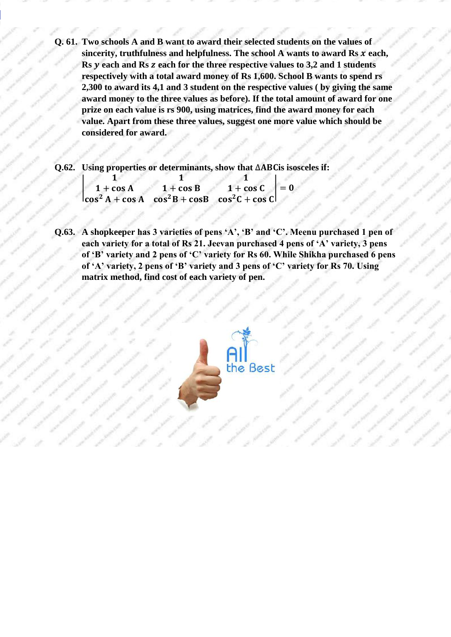**Q. 61. Two schools A and B want to award their selected students on the values of**  sincerity, truthfulness and helpfulness. The school A wants to award Rs  $x$  each, **Rs** *y* **each and Rs** *z* **each for the three respective values to 3.2 and 1 students respectively with a total award money of Rs 1,600. School B wants to spend rs 2,300 to award its 4,1 and 3 student on the respective values ( by giving the same award money to the three values as before). If the total amount of award for one prize on each value is rs 900, using matrices, find the award money for each value. Apart from these three values, suggest one more value which should be considered for award.**

4ono.com 4ono.com 4ono.com 4ono.com 4ono.com 4ono.com 4ono.com 4ono.com 4ono.com 4ono.com 4ono.com 4ono.com 4ono.com

- **Q.62. Using properties or determinants, show that** ∆**is isosceles if:** |  $1 \times 1 \times 1$  $1 + \cos A$   $1 + \cos B$   $1 + \cos C$  $\cos^2 A + \cos A$  cos  $\cos^2 B + \cos B$  $\cos^2 C + \cos C$  $= 0$
- **Q.63. A shopkeeper has 3 varieties of pens 'A', 'B' and 'C'. Meenu purchased 1 pen of each variety for a total of Rs 21. Jeevan purchased 4 pens of 'A' variety, 3 pens of 'B' variety and 2 pens of 'C' variety for Rs 60. While Shikha purchased 6 pens of 'A' variety, 2 pens of 'B' variety and 3 pens of 'C' variety for Rs 70. Using matrix method, find cost of each variety of pen.**

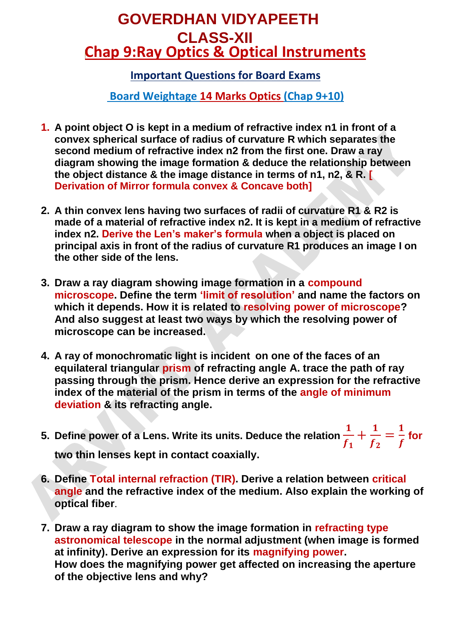### **ARVIND ACADEMY YouTube Channel Click the link to see the video GOVERDHAN VIDYAPEETH https://youtu.be/doE3uP2pPOQ Chap 9:Ray Optics & Optical Instruments CLASS-XII**

### **Important Questions for Board Exams**

**Board Weightage 14 Marks Optics (Chap 9+10)**

- **1. A point object O is kept in a medium of refractive index n1 in front of a convex spherical surface of radius of curvature R which separates the second medium of refractive index n2 from the first one. Draw a ray diagram showing the image formation & deduce the relationship between the object distance & the image distance in terms of n1, n2, & R. [ Derivation of Mirror formula convex & Concave both]**
- **2. A thin convex lens having two surfaces of radii of curvature R1 & R2 is made of a material of refractive index n2. It is kept in a medium of refractive index n2. Derive the Len's maker's formula when a object is placed on principal axis in front of the radius of curvature R1 produces an image I on the other side of the lens.**
- **3. Draw a ray diagram showing image formation in a compound microscope. Define the term 'limit of resolution' and name the factors on which it depends. How it is related to resolving power of microscope? And also suggest at least two ways by which the resolving power of microscope can be increased.**
- **4. A ray of monochromatic light is incident on one of the faces of an equilateral triangular prism of refracting angle A. trace the path of ray passing through the prism. Hence derive an expression for the refractive index of the material of the prism in terms of the angle of minimum deviation & its refracting angle.**
- **5. Define power of a Lens. Write its units. Deduce the relation**   $\mathbf{1}$  $\boldsymbol{f_1}$  $+\frac{1}{\epsilon}$  $\boldsymbol{f}_{\boldsymbol{2}}$  $=\frac{1}{f}$ f **for two thin lenses kept in contact coaxially.**
- **6. Define Total internal refraction (TIR). Derive a relation between critical angle and the refractive index of the medium. Also explain the working of optical fiber**.
- **7. Draw a ray diagram to show the image formation in refracting type astronomical telescope in the normal adjustment (when image is formed at infinity). Derive an expression for its magnifying power. How does the magnifying power get affected on increasing the aperture of the objective lens and why?**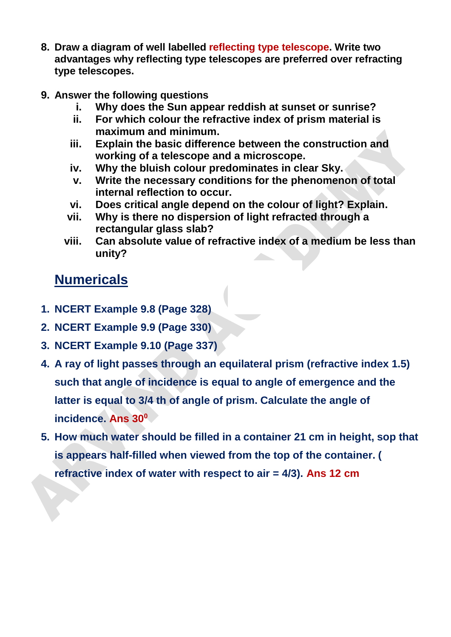- **8. Draw a diagram of well labelled reflecting type telescope. Write two advantages why reflecting type telescopes are preferred over refracting type telescopes.**
- **9. Answer the following questions**
	- **i. Why does the Sun appear reddish at sunset or sunrise?**
	- **ii. For which colour the refractive index of prism material is maximum and minimum.**
	- **iii. Explain the basic difference between the construction and working of a telescope and a microscope.**
	- **iv. Why the bluish colour predominates in clear Sky.**
	- **v. Write the necessary conditions for the phenomenon of total internal reflection to occur.**
	- **vi. Does critical angle depend on the colour of light? Explain.**
	- **vii. Why is there no dispersion of light refracted through a rectangular glass slab?**
	- **viii. Can absolute value of refractive index of a medium be less than unity?**

## **Numericals**

- **1. NCERT Example 9.8 (Page 328)**
- **2. NCERT Example 9.9 (Page 330)**
- **3. NCERT Example 9.10 (Page 337)**
- **4. A ray of light passes through an equilateral prism (refractive index 1.5) such that angle of incidence is equal to angle of emergence and the latter is equal to 3/4 th of angle of prism. Calculate the angle of incidence. Ans 30<sup>0</sup>**
- **5. How much water should be filled in a container 21 cm in height, sop that is appears half-filled when viewed from the top of the container. ( refractive index of water with respect to air = 4/3). Ans 12 cm**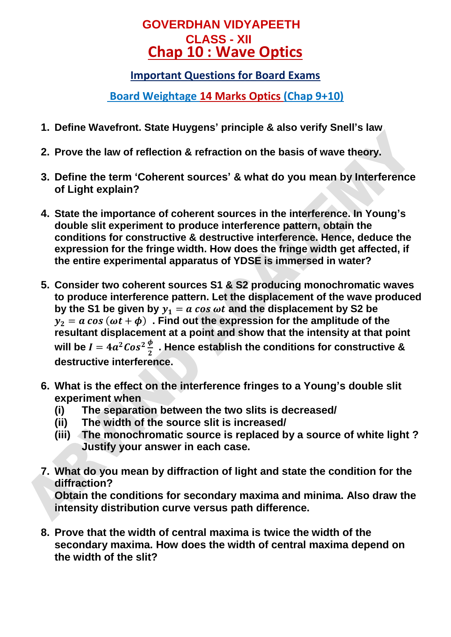### **ARVIND ACADEMY YouTube Channel Click the link to see the video https://www.youtube.com/watch?v=Ju-4AqfsOKc GOVERDHAN VIDYAPEETH Chap 10 : Wave Optics CLASS - XII**

### **Important Questions for Board Exams**

**Board Weightage 14 Marks Optics (Chap 9+10)**

- **1. Define Wavefront. State Huygens' principle & also verify Snell's law**
- **2. Prove the law of reflection & refraction on the basis of wave theory.**
- **3. Define the term 'Coherent sources' & what do you mean by Interference of Light explain?**
- **4. State the importance of coherent sources in the interference. In Young's double slit experiment to produce interference pattern, obtain the conditions for constructive & destructive interference. Hence, deduce the expression for the fringe width. How does the fringe width get affected, if the entire experimental apparatus of YDSE is immersed in water?**
- **5. Consider two coherent sources S1 & S2 producing monochromatic waves to produce interference pattern. Let the displacement of the wave produced**  by the S1 be given by  $y_1 = a \cos \omega t$  and the displacement by S2 be  $y_2 = a \cos(\omega t + \phi)$ . Find out the expression for the amplitude of the **resultant displacement at a point and show that the intensity at that point**  will be  $I = 4a^2Cos^2\frac{\phi}{2}$  . Hence establish the conditions for constructive & **destructive interference.**
- **6. What is the effect on the interference fringes to a Young's double slit experiment when**
	- **(i) The separation between the two slits is decreased/**
	- **(ii) The width of the source slit is increased/**
	- **(iii) The monochromatic source is replaced by a source of white light ? Justify your answer in each case.**
- **7. What do you mean by diffraction of light and state the condition for the diffraction?**

**Obtain the conditions for secondary maxima and minima. Also draw the intensity distribution curve versus path difference.**

**8. Prove that the width of central maxima is twice the width of the secondary maxima. How does the width of central maxima depend on the width of the slit?**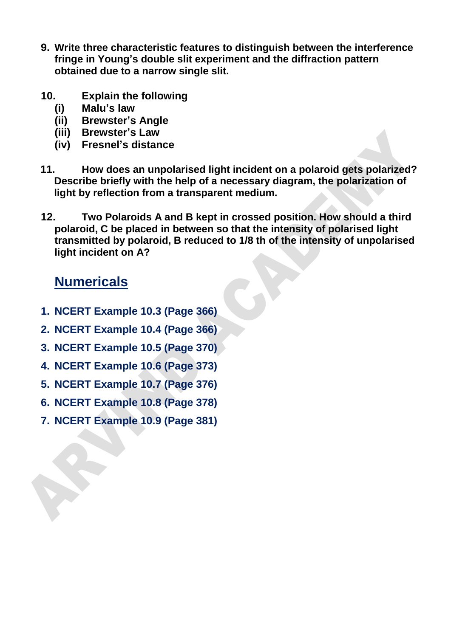- **9. Write three characteristic features to distinguish between the interference fringe in Young's double slit experiment and the diffraction pattern obtained due to a narrow single slit.**
- **10. Explain the following**
	- **(i) Malu's law**
	- **(ii) Brewster's Angle**
	- **(iii) Brewster's Law**
	- **(iv) Fresnel's distance**
- **11. How does an unpolarised light incident on a polaroid gets polarized? Describe briefly with the help of a necessary diagram, the polarization of light by reflection from a transparent medium.**
- **12. Two Polaroids A and B kept in crossed position. How should a third polaroid, C be placed in between so that the intensity of polarised light transmitted by polaroid, B reduced to 1/8 th of the intensity of unpolarised light incident on A?**

## **Numericals**

- **1. NCERT Example 10.3 (Page 366)**
- **2. NCERT Example 10.4 (Page 366)**
- **3. NCERT Example 10.5 (Page 370)**
- **4. NCERT Example 10.6 (Page 373)**
- **5. NCERT Example 10.7 (Page 376)**
- **6. NCERT Example 10.8 (Page 378)**
- **7. NCERT Example 10.9 (Page 381)**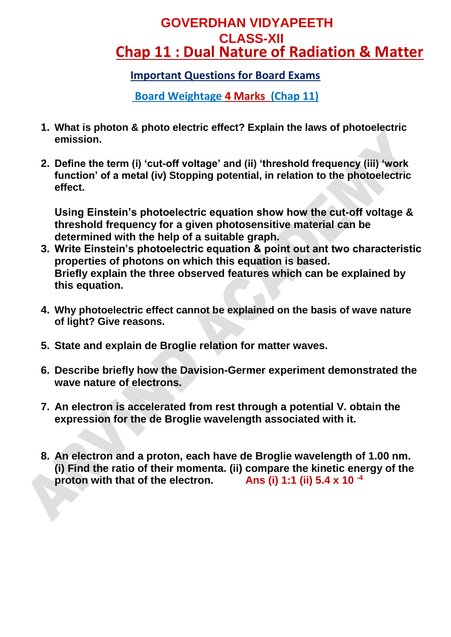### **GOVERDHAN VIDYAPEETH https://**youtu.be/vk **Chap 11 : Dual Nature of Radiation & Matter CLASS-XII**

### **Important Questions for Board Exams**

**Board Weightage 4 Marks (Chap 11)**

- **1. What is photon & photo electric effect? Explain the laws of photoelectric emission.**
- **2. Define the term (i) 'cut-off voltage' and (ii) 'threshold frequency (iii) 'work function' of a metal (iv) Stopping potential, in relation to the photoelectric effect.**

**Using Einstein's photoelectric equation show how the cut-off voltage & threshold frequency for a given photosensitive material can be determined with the help of a suitable graph.** 

- **3. Write Einstein's photoelectric equation & point out ant two characteristic properties of photons on which this equation is based. Briefly explain the three observed features which can be explained by this equation.**
- **4. Why photoelectric effect cannot be explained on the basis of wave nature of light? Give reasons.**
- **5. State and explain de Broglie relation for matter waves.**
- **6. Describe briefly how the Davision-Germer experiment demonstrated the wave nature of electrons.**
- **7. An electron is accelerated from rest through a potential V. obtain the expression for the de Broglie wavelength associated with it.**
- **8. An electron and a proton, each have de Broglie wavelength of 1.00 nm. (i) Find the ratio of their momenta. (ii) compare the kinetic energy of the proton with that of the electron.**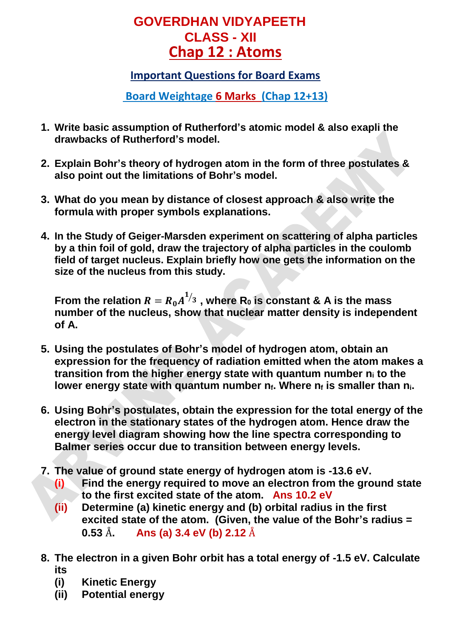## **ARVIND ACTES THE COVERDHAN VIDYAPEETH Chap 12 : Atoms CLASS - XII**

### **Important Questions for Board Exams**

### **Board Weightage 6 Marks (Chap 12+13)**

- **1. Write basic assumption of Rutherford's atomic model & also exapli the drawbacks of Rutherford's model.**
- **2. Explain Bohr's theory of hydrogen atom in the form of three postulates & also point out the limitations of Bohr's model.**
- **3. What do you mean by distance of closest approach & also write the formula with proper symbols explanations.**
- **4. In the Study of Geiger-Marsden experiment on scattering of alpha particles by a thin foil of gold, draw the trajectory of alpha particles in the coulomb field of target nucleus. Explain briefly how one gets the information on the size of the nucleus from this study.**

From the relation  $R = R_0 A^{1/3}$  , where  $R_0$  is constant & A is the mass **number of the nucleus, show that nuclear matter density is independent of A.**

- **5. Using the postulates of Bohr's model of hydrogen atom, obtain an expression for the frequency of radiation emitted when the atom makes a transition from the higher energy state with quantum number n<sup>i</sup> to the lower energy state with quantum number nf. Where n<sup>f</sup> is smaller than ni.**
- **6. Using Bohr's postulates, obtain the expression for the total energy of the electron in the stationary states of the hydrogen atom. Hence draw the energy level diagram showing how the line spectra corresponding to Balmer series occur due to transition between energy levels.**
- **7. The value of ground state energy of hydrogen atom is -13.6 eV.**
	- **(i) Find the energy required to move an electron from the ground state to the first excited state of the atom. Ans 10.2 eV**
	- **(ii) Determine (a) kinetic energy and (b) orbital radius in the first excited state of the atom. (Given, the value of the Bohr's radius = 0.53** Å**. Ans (a) 3.4 eV (b) 2.12** Å
- **8. The electron in a given Bohr orbit has a total energy of -1.5 eV. Calculate its**
	- **(i) Kinetic Energy**
	- **(ii) Potential energy**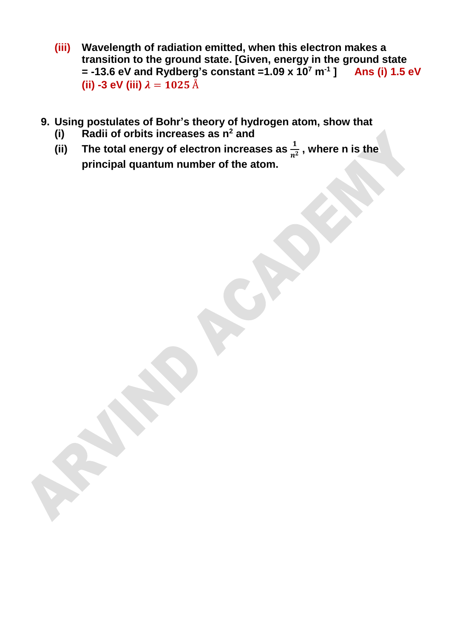- **(iii) Wavelength of radiation emitted, when this electron makes a transition to the ground state. [Given, energy in the ground state = -13.6 eV and Rydberg's constant =1.09 x 10<sup>7</sup> m-1 ] Ans (i) 1.5 eV (ii) -3 eV (iii)**  $\lambda = 1025 \,\text{\AA}$
- **9. Using postulates of Bohr's theory of hydrogen atom, show that** 
	- **(i) Radii of orbits increases as n<sup>2</sup> and**
	- (ii) The total energy of electron increases as  $\frac{1}{n^2}$  , where **n** is the **principal quantum number of the atom.**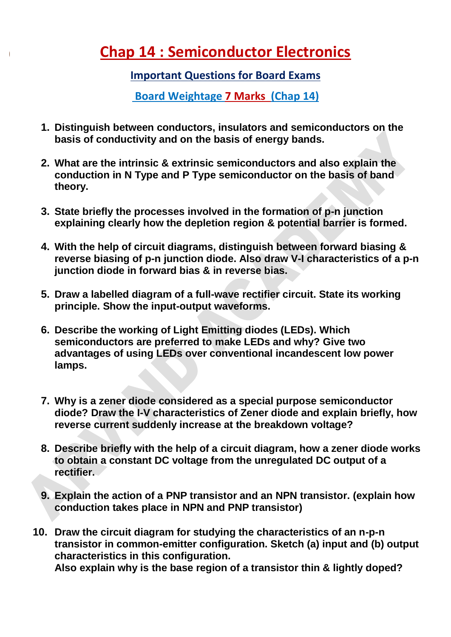## **Chap 14 : Semiconductor Electronics**

### **Important Questions for Board Exams**

**Board Weightage 7 Marks (Chap 14)**

- **1. Distinguish between conductors, insulators and semiconductors on the basis of conductivity and on the basis of energy bands.**
- **2. What are the intrinsic & extrinsic semiconductors and also explain the conduction in N Type and P Type semiconductor on the basis of band theory.**
- **3. State briefly the processes involved in the formation of p-n junction explaining clearly how the depletion region & potential barrier is formed.**
- **4. With the help of circuit diagrams, distinguish between forward biasing & reverse biasing of p-n junction diode. Also draw V-I characteristics of a p-n junction diode in forward bias & in reverse bias.**
- **5. Draw a labelled diagram of a full-wave rectifier circuit. State its working principle. Show the input-output waveforms.**
- **6. Describe the working of Light Emitting diodes (LEDs). Which semiconductors are preferred to make LEDs and why? Give two advantages of using LEDs over conventional incandescent low power lamps.**
- **7. Why is a zener diode considered as a special purpose semiconductor diode? Draw the I-V characteristics of Zener diode and explain briefly, how reverse current suddenly increase at the breakdown voltage?**
- **8. Describe briefly with the help of a circuit diagram, how a zener diode works to obtain a constant DC voltage from the unregulated DC output of a rectifier.**
- **9. Explain the action of a PNP transistor and an NPN transistor. (explain how conduction takes place in NPN and PNP transistor)**
- **10. Draw the circuit diagram for studying the characteristics of an n-p-n transistor in common-emitter configuration. Sketch (a) input and (b) output characteristics in this configuration. Also explain why is the base region of a transistor thin & lightly doped?**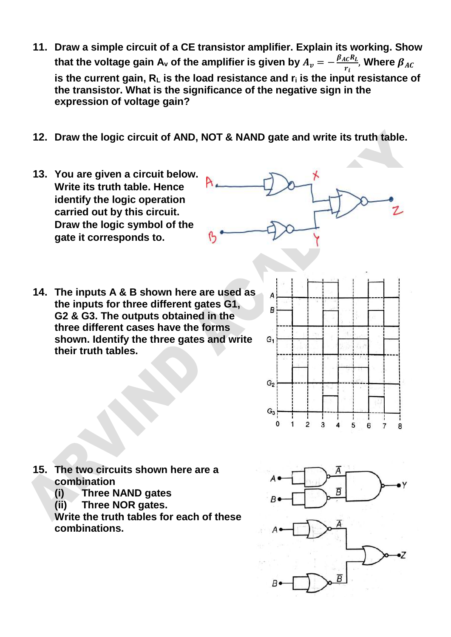- **11. Draw a simple circuit of a CE transistor amplifier. Explain its working. Show**  that the voltage gain A<sub>v</sub> of the amplifier is given by  $A_{\nu}=-\frac{\beta_{AC}R_L}{r_c}$  $\frac{dC\mathbf{h}L}{r_i}$ , Where  $\boldsymbol{\beta}_{AC}$ **is the current gain, R<sup>L</sup> is the load resistance and r<sup>i</sup> is the input resistance of the transistor. What is the significance of the negative sign in the expression of voltage gain?**
- **12. Draw the logic circuit of AND, NOT & NAND gate and write its truth table.**
- **13. You are given a circuit below. Write its truth table. Hence identify the logic operation carried out by this circuit. Draw the logic symbol of the gate it corresponds to.**
- **14. The inputs A & B shown here are used as the inputs for three different gates G1, G2 & G3. The outputs obtained in the three different cases have the forms shown. Identify the three gates and write their truth tables.**



- **15. The two circuits shown here are a combination** 
	- **(i) Three NAND gates**
	- **(ii) Three NOR gates.**

**Write the truth tables for each of these combinations.**